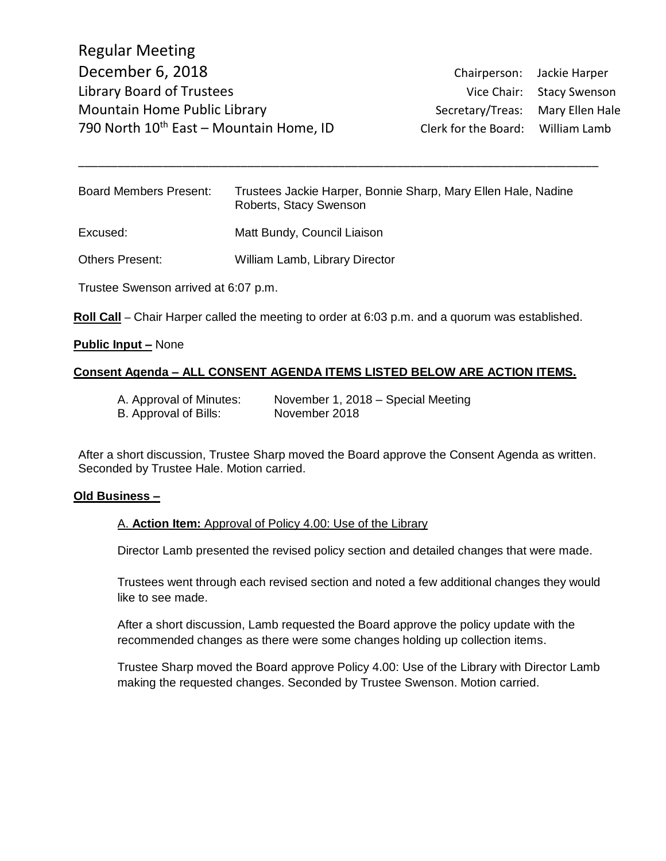Regular Meeting December 6, 2018 Chairperson: Jackie Harper Library Board of Trustees and Trustees Vice Chair: Stacy Swenson Mountain Home Public Library **Secretary/Treas:** Mary Ellen Hale 790 North 10<sup>th</sup> East – Mountain Home, ID Clerk for the Board: William Lamb

| <b>Board Members Present:</b>        | Trustees Jackie Harper, Bonnie Sharp, Mary Ellen Hale, Nadine<br>Roberts, Stacy Swenson |
|--------------------------------------|-----------------------------------------------------------------------------------------|
| Excused:                             | Matt Bundy, Council Liaison                                                             |
| <b>Others Present:</b>               | William Lamb, Library Director                                                          |
| Trustee Swenson arrived at 6:07 p.m. |                                                                                         |

\_\_\_\_\_\_\_\_\_\_\_\_\_\_\_\_\_\_\_\_\_\_\_\_\_\_\_\_\_\_\_\_\_\_\_\_\_\_\_\_\_\_\_\_\_\_\_\_\_\_\_\_\_\_\_\_\_\_\_\_\_\_\_\_\_\_\_\_\_\_\_\_\_\_\_\_\_\_\_\_

**Roll Call** – Chair Harper called the meeting to order at 6:03 p.m. and a quorum was established.

### **Public Input –** None

## **Consent Agenda – ALL CONSENT AGENDA ITEMS LISTED BELOW ARE ACTION ITEMS.**

| A. Approval of Minutes: | November 1, 2018 – Special Meeting |
|-------------------------|------------------------------------|
| B. Approval of Bills:   | November 2018                      |

After a short discussion, Trustee Sharp moved the Board approve the Consent Agenda as written. Seconded by Trustee Hale. Motion carried.

#### **Old Business –**

#### A. **Action Item:** Approval of Policy 4.00: Use of the Library

Director Lamb presented the revised policy section and detailed changes that were made.

Trustees went through each revised section and noted a few additional changes they would like to see made.

After a short discussion, Lamb requested the Board approve the policy update with the recommended changes as there were some changes holding up collection items.

Trustee Sharp moved the Board approve Policy 4.00: Use of the Library with Director Lamb making the requested changes. Seconded by Trustee Swenson. Motion carried.